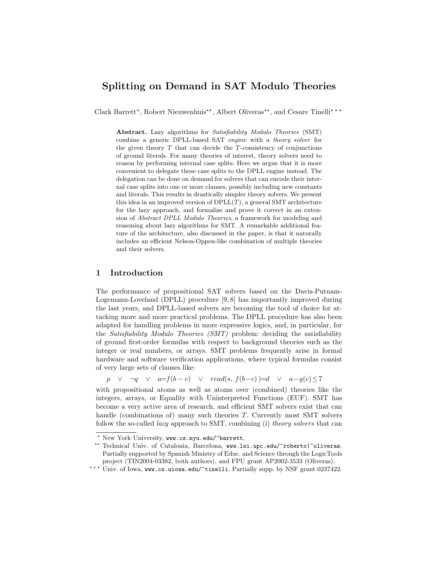# Splitting on Demand in SAT Modulo Theories

Clark Barrett\*, Robert Nieuwenhuis\*\*, Albert Oliveras\*\*, and Cesare Tinelli\*\*\*

Abstract. Lazy algorithms for Satisfiability Modulo Theories (SMT) combine a generic DPLL-based SAT engine with a theory solver for the given theory  $T$  that can decide the  $T$ -consistency of conjunctions of ground literals. For many theories of interest, theory solvers need to reason by performing internal case splits. Here we argue that it is more convenient to delegate these case splits to the DPLL engine instead. The delegation can be done on demand for solvers that can encode their internal case splits into one or more clauses, possibly including new constants and literals. This results in drastically simpler theory solvers. We present this idea in an improved version of  $DPLL(T)$ , a general SMT architecture for the lazy approach, and formalize and prove it correct in an extension of Abstract DPLL Modulo Theories, a framework for modeling and reasoning about lazy algorithms for SMT. A remarkable additional feature of the architecture, also discussed in the paper, is that it naturally includes an efficient Nelson-Oppen-like combination of multiple theories and their solvers.

## 1 Introduction

The performance of propositional SAT solvers based on the Davis-Putnam-Logemann-Loveland (DPLL) procedure [9, 8] has importantly improved during the last years, and DPLL-based solvers are becoming the tool of choice for attacking more and more practical problems. The DPLL procedure has also been adapted for handling problems in more expressive logics, and, in particular, for the Satisfiability Modulo Theories (SMT) problem: deciding the satisfiability of ground first-order formulas with respect to background theories such as the integer or real numbers, or arrays. SMT problems frequently arise in formal hardware and software verification applications, where typical formulas consist of very large sets of clauses like:

$$
p \quad \lor \quad \neg q \quad \lor \quad a = f(b - c) \quad \lor \quad read(s, f(b - c)) = d \quad \lor \quad a - g(c) \leq 7
$$

with propositional atoms as well as atoms over (combined) theories like the integers, arrays, or Equality with Uninterpreted Functions (EUF). SMT has become a very active area of research, and efficient SMT solvers exist that can handle (combinations of) many such theories T. Currently most SMT solvers follow the so-called lazy approach to SMT, combining (i) theory solvers that can

<sup>?</sup> New York University, www.cs.nyu.edu/~barrett.

<sup>\*\*</sup> Technical Univ. of Catalonia, Barcelona, www.1si.upc.edu/~roberto|~oliveras. Partially supported by Spanish Ministry of Educ. and Science through the LogicTools project (TIN2004-03382, both authors), and FPU grant AP2002-3533 (Oliveras).

<sup>\*\*\*</sup> Univ. of Iowa, www.cs.uiowa.edu/~tinelli. Partially supp. by NSF grant 0237422.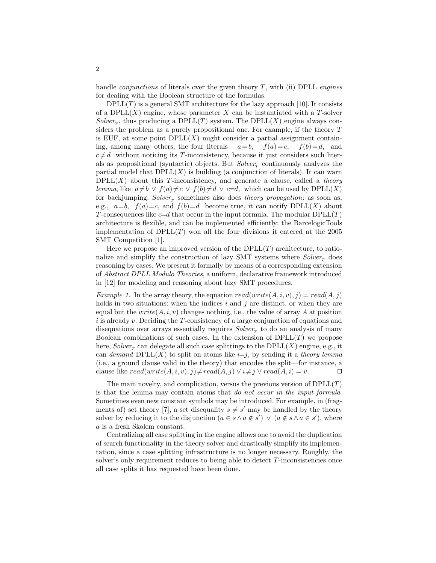handle *conjunctions* of literals over the given theory  $T$ , with (ii) DPLL *engines* for dealing with the Boolean structure of the formulas.

 $DPLL(T)$  is a general SMT architecture for the lazy approach [10]. It consists of a  $DPLL(X)$  engine, whose parameter X can be instantiated with a T-solver  $Solver_T$ , thus producing a DPLL(T) system. The DPLL(X) engine always considers the problem as a purely propositional one. For example, if the theory T is EUF, at some point  $DPLL(X)$  might consider a partial assignment containing, among many others, the four literals  $a=b$ ,  $f(a)=c$ ,  $f(b)=d$ , and  $c \neq d$  without noticing its T-inconsistency, because it just considers such literals as propositional (syntactic) objects. But  $Solver<sub>T</sub>$  continuously analyzes the partial model that  $DPLL(X)$  is building (a conjunction of literals). It can warn  $DPLL(X)$  about this T-inconsistency, and generate a clause, called a *theory* lemma, like  $a \neq b \vee f(a) \neq c \vee f(b) \neq d \vee c=d$ , which can be used by  $DPLL(X)$ for backjumping.  $Solver<sub>T</sub>$  sometimes also does theory propagation: as soon as, e.g.,  $a=b$ ,  $f(a)=c$ , and  $f(b)=d$  become true, it can notify  $DPLL(X)$  about T-consequences like  $c=d$  that occur in the input formula. The modular  $DPLL(T)$ architecture is flexible, and can be implemented efficiently: the BarcelogicTools implementation of  $DPLL(T)$  won all the four divisions it entered at the 2005 SMT Competition [1].

Here we propose an improved version of the  $DPLL(T)$  architecture, to rationalize and simplify the construction of lazy SMT systems where  $Solver_T$  does reasoning by cases. We present it formally by means of a corresponding extension of Abstract DPLL Modulo Theories, a uniform, declarative framework introduced in [12] for modeling and reasoning about lazy SMT procedures.

Example 1. In the array theory, the equation  $read(write(A, i, v), j) = read(A, j)$ holds in two situations: when the indices i and j are distinct, or when they are equal but the  $write(A, i, v)$  changes nothing, i.e., the value of array A at position  $i$  is already v. Deciding the T-consistency of a large conjunction of equations and disequations over arrays essentially requires  $Solver<sub>T</sub>$  to do an analysis of many Boolean combinations of such cases. In the extension of  $DPLL(T)$  we propose here,  $Solver_T$  can delegate all such case splittings to the  $\text{DPLL}(X)$  engine, e.g., it can demand DPLL(X) to split on atoms like  $i=j$ , by sending it a theory lemma (i.e., a ground clause valid in the theory) that encodes the split—for instance, a clause like  $read(write(A, i, v), j) \neq read(A, j) \lor i \neq j \lor read(A, i) = v.$ 

The main novelty, and complication, versus the previous version of  $DPLL(T)$ is that the lemma may contain atoms that do not occur in the input formula. Sometimes even new constant symbols may be introduced. For example, in (fragments of) set theory [7], a set disequality  $s \neq s'$  may be handled by the theory solver by reducing it to the disjunction  $(a \in s \land a \notin s') \lor (a \notin s \land a \in s')$ , where a is a fresh Skolem constant.

Centralizing all case splitting in the engine allows one to avoid the duplication of search functionality in the theory solver and drastically simplify its implementation, since a case splitting infrastructure is no longer necessary. Roughly, the solver's only requirement reduces to being able to detect  $T$ -inconsistencies once all case splits it has requested have been done.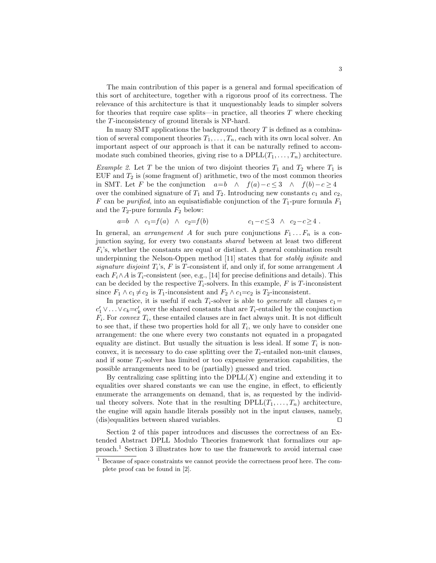The main contribution of this paper is a general and formal specification of this sort of architecture, together with a rigorous proof of its correctness. The relevance of this architecture is that it unquestionably leads to simpler solvers for theories that require case splits—in practice, all theories  $T$  where checking the T-inconsistency of ground literals is NP-hard.

In many SMT applications the background theory  $T$  is defined as a combination of several component theories  $T_1, \ldots, T_n$ , each with its own local solver. An important aspect of our approach is that it can be naturally refined to accommodate such combined theories, giving rise to a  $DPLL(T_1, \ldots, T_n)$  architecture.

*Example 2.* Let T be the union of two disjoint theories  $T_1$  and  $T_2$  where  $T_1$  is EUF and  $T_2$  is (some fragment of) arithmetic, two of the most common theories in SMT. Let F be the conjunction  $a=b \wedge f(a)-c \leq 3 \wedge f(b)-c \geq 4$ over the combined signature of  $T_1$  and  $T_2$ . Introducing new constants  $c_1$  and  $c_2$ , F can be *purified*, into an equisatisfiable conjunction of the  $T_1$ -pure formula  $F_1$ and the  $T_2$ -pure formula  $F_2$  below:

$$
a=b \land c_1=f(a) \land c_2=f(b)
$$
  $c_1-c \leq 3 \land c_2-c \geq 4$ .

In general, an *arrangement A* for such pure conjunctions  $F_1 \ldots F_n$  is a conjunction saying, for every two constants shared between at least two different  $F_i$ 's, whether the constants are equal or distinct. A general combination result underpinning the Nelson-Oppen method [11] states that for stably infinite and signature disjoint  $T_i$ 's,  $F$  is  $T$ -consistent if, and only if, for some arrangement  $A$ each  $F_i \wedge A$  is  $T_i$ -consistent (see, e.g., [14] for precise definitions and details). This can be decided by the respective  $T_i$ -solvers. In this example, F is T-inconsistent since  $F_1 \wedge c_1 \neq c_2$  is  $T_1$ -inconsistent and  $F_2 \wedge c_1 = c_2$  is  $T_2$ -inconsistent.

In practice, it is useful if each  $T_i$ -solver is able to *generate* all clauses  $c_1=$  $c'_1 \vee \ldots \vee c_k = c'_k$  over the shared constants that are  $T_i$ -entailed by the conjunction  $F_i$ . For convex  $T_i$ , these entailed clauses are in fact always unit. It is not difficult to see that, if these two properties hold for all  $T_i$ , we only have to consider one arrangement: the one where every two constants not equated in a propagated equality are distinct. But usually the situation is less ideal. If some  $T_i$  is nonconvex, it is necessary to do case splitting over the  $T_i$ -entailed non-unit clauses, and if some  $T_i$ -solver has limited or too expensive generation capabilities, the possible arrangements need to be (partially) guessed and tried.

By centralizing case splitting into the  $DPLL(X)$  engine and extending it to equalities over shared constants we can use the engine, in effect, to efficiently enumerate the arrangements on demand, that is, as requested by the individual theory solvers. Note that in the resulting  $DPLL(T_1, \ldots, T_n)$  architecture, the engine will again handle literals possibly not in the input clauses, namely, (dis)equalities between shared variables.  $\Box$ 

Section 2 of this paper introduces and discusses the correctness of an Extended Abstract DPLL Modulo Theories framework that formalizes our approach.<sup>1</sup> Section 3 illustrates how to use the framework to avoid internal case

<sup>1</sup> Because of space constraints we cannot provide the correctness proof here. The complete proof can be found in [2].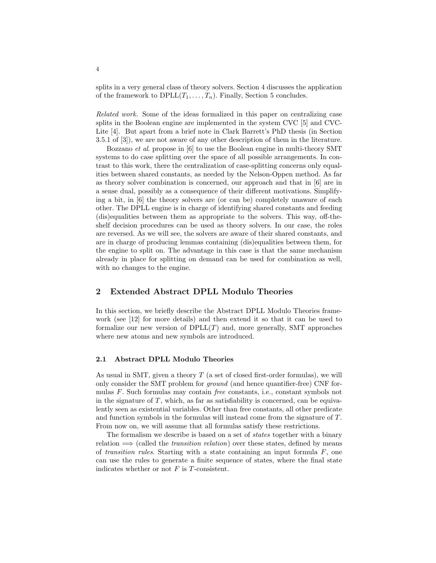splits in a very general class of theory solvers. Section 4 discusses the application of the framework to  $DPLL(T_1, ..., T_n)$ . Finally, Section 5 concludes.

Related work. Some of the ideas formalized in this paper on centralizing case splits in the Boolean engine are implemented in the system CVC [5] and CVC-Lite [4]. But apart from a brief note in Clark Barrett's PhD thesis (in Section 3.5.1 of [3]), we are not aware of any other description of them in the literature.

Bozzano et al. propose in [6] to use the Boolean engine in multi-theory SMT systems to do case splitting over the space of all possible arrangements. In contrast to this work, there the centralization of case-splitting concerns only equalities between shared constants, as needed by the Nelson-Oppen method. As far as theory solver combination is concerned, our approach and that in [6] are in a sense dual, possibly as a consequence of their different motivations. Simplifying a bit, in [6] the theory solvers are (or can be) completely unaware of each other. The DPLL engine is in charge of identifying shared constants and feeding (dis)equalities between them as appropriate to the solvers. This way, off-theshelf decision procedures can be used as theory solvers. In our case, the roles are reversed. As we will see, the solvers are aware of their shared constants, and are in charge of producing lemmas containing (dis)equalities between them, for the engine to split on. The advantage in this case is that the same mechanism already in place for splitting on demand can be used for combination as well, with no changes to the engine.

### 2 Extended Abstract DPLL Modulo Theories

In this section, we briefly describe the Abstract DPLL Modulo Theories framework (see [12] for more details) and then extend it so that it can be used to formalize our new version of  $DPLL(T)$  and, more generally, SMT approaches where new atoms and new symbols are introduced.

## 2.1 Abstract DPLL Modulo Theories

As usual in SMT, given a theory  $T$  (a set of closed first-order formulas), we will only consider the SMT problem for ground (and hence quantifier-free) CNF formulas F. Such formulas may contain free constants, i.e., constant symbols not in the signature of  $T$ , which, as far as satisfiability is concerned, can be equivalently seen as existential variables. Other than free constants, all other predicate and function symbols in the formulas will instead come from the signature of T. From now on, we will assume that all formulas satisfy these restrictions.

The formalism we describe is based on a set of *states* together with a binary relation  $\implies$  (called the *transition relation*) over these states, defined by means of *transition rules*. Starting with a state containing an input formula  $F$ , one can use the rules to generate a finite sequence of states, where the final state indicates whether or not  $F$  is  $T$ -consistent.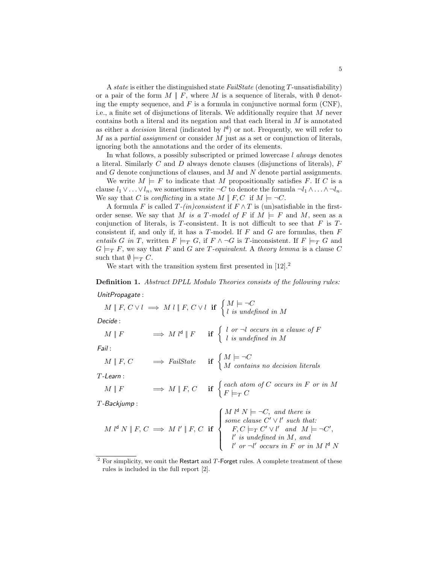A state is either the distinguished state FailState (denoting T-unsatisfiability) or a pair of the form  $M \parallel F$ , where M is a sequence of literals, with  $\emptyset$  denoting the empty sequence, and  $F$  is a formula in conjunctive normal form (CNF), i.e., a finite set of disjunctions of literals. We additionally require that M never contains both a literal and its negation and that each literal in  $M$  is annotated as either a *decision* literal (indicated by  $l^d$ ) or not. Frequently, we will refer to M as a partial assignment or consider  $M$  just as a set or conjunction of literals, ignoring both the annotations and the order of its elements.

In what follows, a possibly subscripted or primed lowercase l always denotes a literal. Similarly  $C$  and  $D$  always denote clauses (disjunctions of literals),  $F$ and G denote conjunctions of clauses, and M and N denote partial assignments.

We write  $M \models F$  to indicate that M propositionally satisfies F. If C is a clause  $l_1 \vee \ldots \vee l_n$ , we sometimes write  $\neg C$  to denote the formula  $\neg l_1 \wedge \ldots \wedge \neg l_n$ . We say that C is conflicting in a state  $M \parallel F, C$  if  $M \models \neg C$ .

A formula F is called  $T-(in)consistent$  if  $F \wedge T$  is (un)satisfiable in the firstorder sense. We say that M is a T-model of F if  $M \models F$  and M, seen as a conjunction of literals, is  $T$ -consistent. It is not difficult to see that  $F$  is  $T$ consistent if, and only if, it has a T-model. If  $F$  and  $G$  are formulas, then  $F$ entails G in T, written  $F \models_T G$ , if  $F \land \neg G$  is T-inconsistent. If  $F \models_T G$  and  $G \models_T F$ , we say that F and G are T-equivalent. A theory lemma is a clause C such that  $\emptyset \models_T C$ .

We start with the transition system first presented in  $[12].<sup>2</sup>$ 

#### Definition 1. Abstract DPLL Modulo Theories consists of the following rules:

#### UnitPropagate :

 $M \parallel F, C \vee l \implies M \parallel F, C \vee l \text{ if } \begin{cases} M \models \neg C \\ l \text{ is a node} \end{cases}$ l is undefined in M Decide :  $M \parallel F \qquad \Longrightarrow M \parallel^{\mathbf{d}} \parallel F \qquad \text{if } \begin{cases} l \text{ or } \neg l \text{ occurs in a clause of } F \\ l \text{ is undefined in } M \end{cases}$ l is undefined in M Fail :  $M \parallel F, C \qquad \Longrightarrow \text{FailState} \qquad \text{if} \begin{cases} M \models \neg C \\ M \text{ sents} \end{cases}$ M contains no decision literals T-Learn :  $M \parallel F$   $\implies M \parallel F, C$  if  $\begin{cases} each \ atom \ of \ C \ occurs \ in \ F \ or \ in \ M \end{cases}$  $F \models_T C$ T-Backjump :  $M l^{\mathsf{d}} N \parallel F, C \implies M l' \parallel F, C$  if  $\sqrt{ }$  $\int$  $\overline{\mathcal{L}}$  $M l^d N \models \neg C$ , and there is some clause  $C' \vee l'$  such that:  $F, C \models_T C' \vee l'$  and  $M \models \neg C',$  $l'$  is undefined in  $M$ , and  $l'$  or  $\lnot l'$  occurs in F or in M  $l<sup>d</sup>$  N

 $2$  For simplicity, we omit the Restart and T-Forget rules. A complete treatment of these rules is included in the full report [2].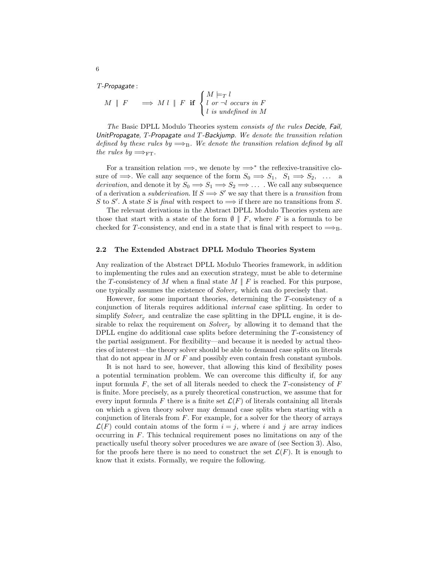T-Propagate :

$$
M \parallel F \quad \implies M \mid l \parallel F \text{ if } \begin{cases} M \models_{T} l \\ l \text{ or } \neg l \text{ occurs in } F \\ l \text{ is undefined in } M \end{cases}
$$

The Basic DPLL Modulo Theories system consists of the rules Decide, Fail, UnitPropagate, T-Propagate and T-Backjump. We denote the transition relation defined by these rules by  $\Longrightarrow_B$ . We denote the transition relation defined by all the rules by  $\Longrightarrow_{\text{FT}}$ .

For a transition relation  $\Longrightarrow$ , we denote by  $\Longrightarrow^*$  the reflexive-transitive closure of  $\implies$ . We call any sequence of the form  $S_0 \implies S_1, S_1 \implies S_2, \ldots$  a derivation, and denote it by  $S_0 \Longrightarrow S_1 \Longrightarrow S_2 \Longrightarrow \dots$ . We call any subsequence of a derivation a *subderivation*. If  $S \implies S'$  we say that there is a *transition* from S to S'. A state S is final with respect to  $\Longrightarrow$  if there are no transitions from S.

The relevant derivations in the Abstract DPLL Modulo Theories system are those that start with a state of the form  $\emptyset \parallel F$ , where F is a formula to be checked for T-consistency, and end in a state that is final with respect to  $\Longrightarrow$ <sub>B</sub>.

#### 2.2 The Extended Abstract DPLL Modulo Theories System

Any realization of the Abstract DPLL Modulo Theories framework, in addition to implementing the rules and an execution strategy, must be able to determine the T-consistency of M when a final state  $M \parallel F$  is reached. For this purpose, one typically assumes the existence of  $Solver<sub>r</sub>$  which can do precisely that.

However, for some important theories, determining the T-consistency of a conjunction of literals requires additional internal case splitting. In order to simplify  $Solver<sub>T</sub>$  and centralize the case splitting in the DPLL engine, it is desirable to relax the requirement on  $Solver<sub>r</sub>$  by allowing it to demand that the DPLL engine do additional case splits before determining the T-consistency of the partial assignment. For flexibility—and because it is needed by actual theories of interest—the theory solver should be able to demand case splits on literals that do not appear in  $M$  or  $F$  and possibly even contain fresh constant symbols.

It is not hard to see, however, that allowing this kind of flexibility poses a potential termination problem. We can overcome this difficulty if, for any input formula  $F$ , the set of all literals needed to check the T-consistency of  $F$ is finite. More precisely, as a purely theoretical construction, we assume that for every input formula F there is a finite set  $\mathcal{L}(F)$  of literals containing all literals on which a given theory solver may demand case splits when starting with a conjunction of literals from  $F$ . For example, for a solver for the theory of arrays  $\mathcal{L}(F)$  could contain atoms of the form  $i = j$ , where i and j are array indices occurring in F. This technical requirement poses no limitations on any of the practically useful theory solver procedures we are aware of (see Section 3). Also, for the proofs here there is no need to construct the set  $\mathcal{L}(F)$ . It is enough to know that it exists. Formally, we require the following.

6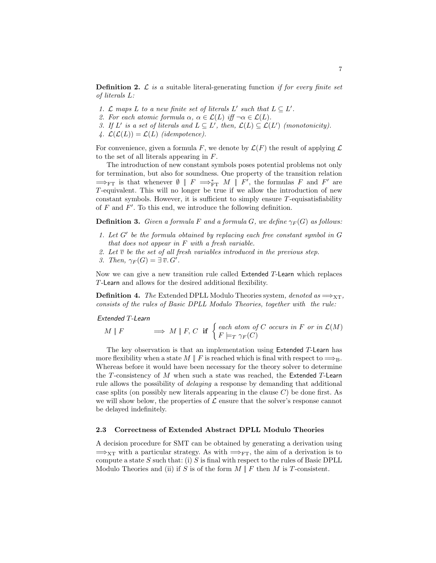**Definition 2.**  $\mathcal{L}$  is a suitable literal-generating function if for every finite set of literals L:

- 1.  $\mathcal L$  maps  $L$  to a new finite set of literals  $L'$  such that  $L \subseteq L'$ .
- 2. For each atomic formula  $\alpha, \alpha \in \mathcal{L}(L)$  iff  $\neg \alpha \in \mathcal{L}(L)$ .
- 3. If L' is a set of literals and  $L \subseteq L'$ , then,  $\mathcal{L}(L) \subseteq \mathcal{L}(L')$  (monotonicity).
- 4.  $\mathcal{L}(\mathcal{L}(L)) = \mathcal{L}(L)$  (idempotence).

For convenience, given a formula F, we denote by  $\mathcal{L}(F)$  the result of applying  $\mathcal{L}$ to the set of all literals appearing in F.

The introduction of new constant symbols poses potential problems not only for termination, but also for soundness. One property of the transition relation  $\implies_{\text{FT}}$  is that whenever  $\emptyset \parallel F \implies_{\text{FT}}^* M \parallel F'$ , the formulas F and F' are T-equivalent. This will no longer be true if we allow the introduction of new constant symbols. However, it is sufficient to simply ensure  $T$ -equisatisfiability of  $F$  and  $F'$ . To this end, we introduce the following definition.

**Definition 3.** Given a formula F and a formula G, we define  $\gamma_F(G)$  as follows:

- 1. Let  $G'$  be the formula obtained by replacing each free constant symbol in  $G$ that does not appear in F with a fresh variable.
- 2. Let  $\overline{v}$  be the set of all fresh variables introduced in the previous step.
- 3. Then,  $\gamma_F(G) = \exists \overline{v}. G'.$

Now we can give a new transition rule called Extended T-Learn which replaces T-Learn and allows for the desired additional flexibility.

**Definition 4.** The Extended DPLL Modulo Theories system, denoted as  $\implies$ x<sub>T</sub>, consists of the rules of Basic DPLL Modulo Theories, together with the rule:

Extended T-Learn

$$
M \parallel F \qquad \Longrightarrow M \parallel F, C \text{ if } \begin{cases} each \text{ atom of } C \text{ occurs in } F \text{ or in } \mathcal{L}(M) \\ F \models_T \gamma_F(C) \end{cases}
$$

The key observation is that an implementation using Extended T-Learn has more flexibility when a state M || F is reached which is final with respect to  $\Longrightarrow_{\text{B}}$ . Whereas before it would have been necessary for the theory solver to determine the T-consistency of M when such a state was reached, the Extended T-Learn rule allows the possibility of delaying a response by demanding that additional case splits (on possibly new literals appearing in the clause  $C$ ) be done first. As we will show below, the properties of  $\mathcal L$  ensure that the solver's response cannot be delayed indefinitely.

#### 2.3 Correctness of Extended Abstract DPLL Modulo Theories

A decision procedure for SMT can be obtained by generating a derivation using  $\Rightarrow$  x<sub>T</sub> with a particular strategy. As with  $\Rightarrow$ <sub>FT</sub>, the aim of a derivation is to compute a state  $S$  such that: (i)  $S$  is final with respect to the rules of Basic DPLL Modulo Theories and (ii) if S is of the form  $M \parallel F$  then M is T-consistent.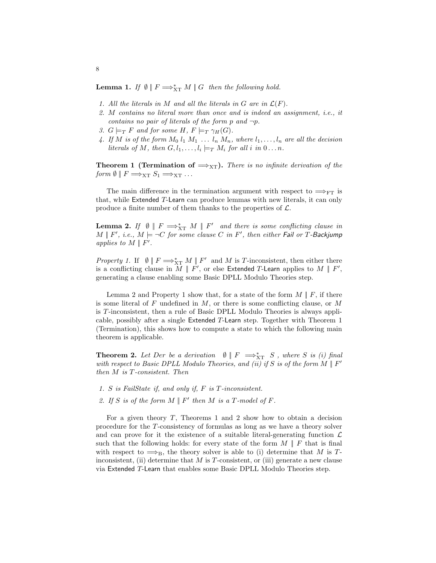**Lemma 1.** If  $\emptyset \parallel F \Longrightarrow_{XT}^* M \parallel G$  then the following hold.

- 1. All the literals in M and all the literals in G are in  $\mathcal{L}(F)$ .
- 2. M contains no literal more than once and is indeed an assignment, i.e., it contains no pair of literals of the form  $p$  and  $\neg p$ .
- 3.  $G \models_T F$  and for some H,  $F \models_T \gamma_H(G)$ .
- 4. If M is of the form  $M_0$   $l_1$   $M_1$   $\ldots$   $l_n$   $M_n$ , where  $l_1, \ldots, l_n$  are all the decision literals of M, then  $G, l_1, \ldots, l_i \models_T M_i$  for all i in  $0 \ldots n$ .

**Theorem 1 (Termination of**  $\Rightarrow$ <sub>XT</sub>). There is no infinite derivation of the form  $\emptyset \parallel F \Longrightarrow_{\text{XT}} S_1 \Longrightarrow_{\text{XT}} \ldots$ 

The main difference in the termination argument with respect to  $\Rightarrow$ <sub>FT</sub> is that, while Extended T-Learn can produce lemmas with new literals, it can only produce a finite number of them thanks to the properties of  $\mathcal{L}$ .

**Lemma 2.** If  $\emptyset \parallel F \Longrightarrow_{XT}^* M \parallel F'$  and there is some conflicting clause in  $M \parallel F'$ , i.e.,  $M \models \neg C$  for some clause C in F', then either Fail or T-Backjump applies to  $M \parallel F'$ .

Property 1. If  $\emptyset \parallel F \Longrightarrow_{XT} M \parallel F'$  and M is T-inconsistent, then either there is a conflicting clause in  $M \parallel F'$ , or else Extended T-Learn applies to  $M \parallel F'$ , generating a clause enabling some Basic DPLL Modulo Theories step.

Lemma 2 and Property 1 show that, for a state of the form  $M \parallel F$ , if there is some literal of F undefined in  $M$ , or there is some conflicting clause, or  $M$ is T-inconsistent, then a rule of Basic DPLL Modulo Theories is always applicable, possibly after a single Extended T-Learn step. Together with Theorem 1 (Termination), this shows how to compute a state to which the following main theorem is applicable.

**Theorem 2.** Let Der be a derivation  $\emptyset \parallel F \implies_{\text{XT}}^* S$ , where S is (i) final with respect to Basic DPLL Modulo Theories, and (ii) if S is of the form  $M \parallel F'$ then M is T-consistent. Then

- 1. S is FailState if, and only if, F is T-inconsistent.
- 2. If S is of the form  $M \parallel F'$  then M is a T-model of F.

For a given theory  $T$ , Theorems 1 and 2 show how to obtain a decision procedure for the T-consistency of formulas as long as we have a theory solver and can prove for it the existence of a suitable literal-generating function  $\mathcal L$ such that the following holds: for every state of the form  $M \parallel F$  that is final with respect to  $\Longrightarrow$ <sub>B</sub>, the theory solver is able to (i) determine that M is Tinconsistent, (ii) determine that  $M$  is  $T$ -consistent, or (iii) generate a new clause via Extended T-Learn that enables some Basic DPLL Modulo Theories step.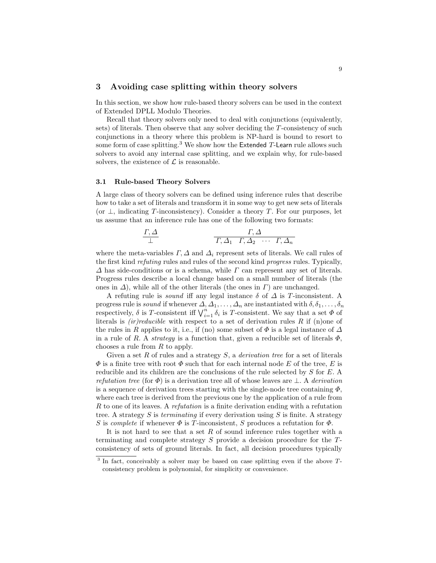### 3 Avoiding case splitting within theory solvers

In this section, we show how rule-based theory solvers can be used in the context of Extended DPLL Modulo Theories.

Recall that theory solvers only need to deal with conjunctions (equivalently, sets) of literals. Then observe that any solver deciding the T-consistency of such conjunctions in a theory where this problem is NP-hard is bound to resort to some form of case splitting.<sup>3</sup> We show how the Extended T-Learn rule allows such solvers to avoid any internal case splitting, and we explain why, for rule-based solvers, the existence of  $\mathcal L$  is reasonable.

#### 3.1 Rule-based Theory Solvers

A large class of theory solvers can be defined using inference rules that describe how to take a set of literals and transform it in some way to get new sets of literals (or  $\perp$ , indicating T-inconsistency). Consider a theory T. For our purposes, let us assume that an inference rule has one of the following two formats:

$$
\frac{\Gamma, \Delta}{\perp} \qquad \qquad \frac{\Gamma, \Delta}{\Gamma, \Delta_1 \quad \Gamma, \Delta_2 \quad \cdots \quad \Gamma, \Delta_n}
$$

where the meta-variables  $\Gamma$ ,  $\Delta$  and  $\Delta_i$  represent sets of literals. We call rules of the first kind refuting rules and rules of the second kind progress rules. Typically,  $\Delta$  has side-conditions or is a schema, while  $\Gamma$  can represent any set of literals. Progress rules describe a local change based on a small number of literals (the ones in  $\Delta$ ), while all of the other literals (the ones in  $\Gamma$ ) are unchanged.

A refuting rule is *sound* iff any legal instance  $\delta$  of  $\Delta$  is T-inconsistent. A progress rule is *sound* if whenever  $\Delta, \Delta_1, \ldots, \Delta_n$  are instantiated with  $\delta, \delta_1, \ldots, \delta_n$ respectively,  $\delta$  is T-consistent iff  $\bigvee_{i=1}^{n} \delta_i$  is T-consistent. We say that a set  $\Phi$  of literals is  $(ir)$ reducible with respect to a set of derivation rules R if (n)one of the rules in R applies to it, i.e., if (no) some subset of  $\Phi$  is a legal instance of  $\Delta$ in a rule of R. A *strategy* is a function that, given a reducible set of literals  $\Phi$ , chooses a rule from  $R$  to apply.

Given a set  $R$  of rules and a strategy  $S$ , a *derivation tree* for a set of literals  $\Phi$  is a finite tree with root  $\Phi$  such that for each internal node E of the tree, E is reducible and its children are the conclusions of the rule selected by S for E. A refutation tree (for  $\Phi$ ) is a derivation tree all of whose leaves are  $\perp$ . A derivation is a sequence of derivation trees starting with the single-node tree containing  $\Phi$ , where each tree is derived from the previous one by the application of a rule from R to one of its leaves. A refutation is a finite derivation ending with a refutation tree. A strategy S is terminating if every derivation using S is finite. A strategy S is complete if whenever  $\Phi$  is T-inconsistent, S produces a refutation for  $\Phi$ .

It is not hard to see that a set  $R$  of sound inference rules together with a terminating and complete strategy S provide a decision procedure for the Tconsistency of sets of ground literals. In fact, all decision procedures typically

<sup>&</sup>lt;sup>3</sup> In fact, conceivably a solver may be based on case splitting even if the above Tconsistency problem is polynomial, for simplicity or convenience.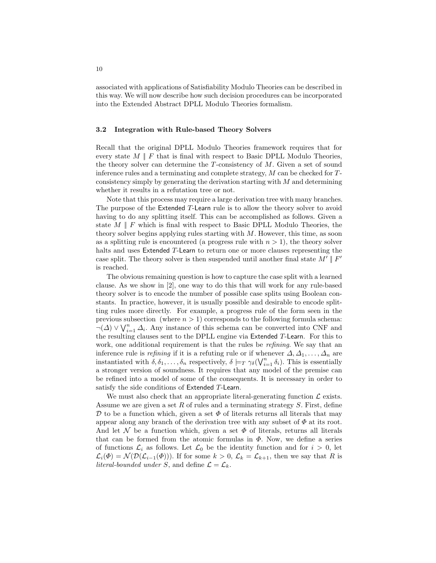associated with applications of Satisfiability Modulo Theories can be described in this way. We will now describe how such decision procedures can be incorporated into the Extended Abstract DPLL Modulo Theories formalism.

#### 3.2 Integration with Rule-based Theory Solvers

Recall that the original DPLL Modulo Theories framework requires that for every state  $M \parallel F$  that is final with respect to Basic DPLL Modulo Theories, the theory solver can determine the  $T$ -consistency of  $M$ . Given a set of sound inference rules and a terminating and complete strategy,  $M$  can be checked for  $T$ consistency simply by generating the derivation starting with M and determining whether it results in a refutation tree or not.

Note that this process may require a large derivation tree with many branches. The purpose of the Extended T-Learn rule is to allow the theory solver to avoid having to do any splitting itself. This can be accomplished as follows. Given a state  $M \parallel F$  which is final with respect to Basic DPLL Modulo Theories, the theory solver begins applying rules starting with  $M$ . However, this time, as soon as a splitting rule is encountered (a progress rule with  $n > 1$ ), the theory solver halts and uses Extended T-Learn to return one or more clauses representing the case split. The theory solver is then suspended until another final state  $M' \parallel F'$ is reached.

The obvious remaining question is how to capture the case split with a learned clause. As we show in [2], one way to do this that will work for any rule-based theory solver is to encode the number of possible case splits using Boolean constants. In practice, however, it is usually possible and desirable to encode splitting rules more directly. For example, a progress rule of the form seen in the previous subsection (where  $n > 1$ ) corresponds to the following formula schema:  $\bigcap_{i=1}^n \Delta_i$ . Any instance of this schema can be converted into CNF and the resulting clauses sent to the DPLL engine via Extended T-Learn. For this to work, one additional requirement is that the rules be *refining*. We say that an inference rule is *refining* if it is a refuting rule or if whenever  $\Delta, \Delta_1, \ldots, \Delta_n$  are instantiated with  $\delta, \delta_1, \ldots, \delta_n$  respectively,  $\delta \models_T \gamma_{\delta}(\bigvee_{i=1}^n \delta_i)$ . This is essentially a stronger version of soundness. It requires that any model of the premise can be refined into a model of some of the consequents. It is necessary in order to satisfy the side conditions of Extended T-Learn.

We must also check that an appropriate literal-generating function  $\mathcal L$  exists. Assume we are given a set R of rules and a terminating strategy  $S$ . First, define D to be a function which, given a set  $\Phi$  of literals returns all literals that may appear along any branch of the derivation tree with any subset of  $\Phi$  at its root. And let  $\mathcal N$  be a function which, given a set  $\Phi$  of literals, returns all literals that can be formed from the atomic formulas in  $\Phi$ . Now, we define a series of functions  $\mathcal{L}_i$  as follows. Let  $\mathcal{L}_0$  be the identity function and for  $i > 0$ , let  $\mathcal{L}_i(\Phi) = \mathcal{N}(\mathcal{D}(\mathcal{L}_{i-1}(\Phi)))$ . If for some  $k > 0$ ,  $\mathcal{L}_k = \mathcal{L}_{k+1}$ , then we say that R is literal-bounded under S, and define  $\mathcal{L} = \mathcal{L}_k$ .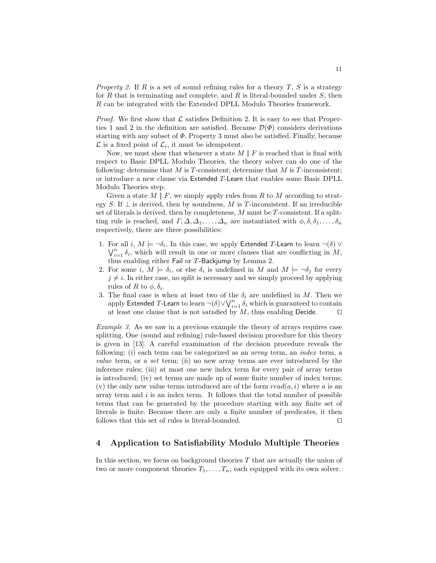*Property 2.* If R is a set of sound refining rules for a theory T, S is a strategy for R that is terminating and complete, and R is literal-bounded under  $S$ , then R can be integrated with the Extended DPLL Modulo Theories framework.

*Proof.* We first show that  $\mathcal L$  satisfies Definition 2. It is easy to see that Properties 1 and 2 in the definition are satisfied. Because  $\mathcal{D}(\Phi)$  considers derivations starting with any subset of  $\Phi$ , Property 3 must also be satisfied. Finally, because  $\mathcal{L}$  is a fixed point of  $\mathcal{L}_i$ , it must be idempotent.

Now, we must show that whenever a state  $M \parallel F$  is reached that is final with respect to Basic DPLL Modulo Theories, the theory solver can do one of the following: determine that M is  $T$ -consistent; determine that M is  $T$ -inconsistent; or introduce a new clause via Extended T-Learn that enables some Basic DPLL Modulo Theories step.

Given a state  $M \parallel F$ , we simply apply rules from R to M according to strategy S. If  $\perp$  is derived, then by soundness, M is T-inconsistent. If an irreducible set of literals is derived, then by completeness,  $M$  must be  $T$ -consistent. If a splitting rule is reached, and  $\Gamma, \Delta, \Delta_1, \ldots, \Delta_n$  are instantiated with  $\phi, \delta, \delta_1, \ldots, \delta_n$ respectively, there are three possibilities:

- 1. For all  $i, M \models \neg \delta_i$ . In this case, we apply Extended T-Learn to learn  $\neg(\delta) \vee$  $\bigvee_{i=1}^{n} \delta_i$ , which will result in one or more clauses that are conflicting in M, thus enabling either Fail or T-Backjump by Lemma 2.
- 2. For some i,  $M \models \delta_i$ , or else  $\delta_i$  is undefined in M and  $M \models \neg \delta_j$  for every  $j \neq i$ . In either case, no split is necessary and we simply proceed by applying rules of R to  $\phi, \delta_i$ .
- 3. The final case is when at least two of the  $\delta_i$  are undefined in M. Then we apply Extended T-Learn to learn  $\neg(\delta) \vee \bigvee_{i=1}^{n} \delta_i$  which is guaranteed to contain at least one clause that is not satisfied by  $M$ , thus enabling Decide.  $\Box$

Example 3. As we saw in a previous example the theory of arrays requires case splitting. One (sound and refining) rule-based decision procedure for this theory is given in [13]. A careful examination of the decision procedure reveals the following: (i) each term can be categorized as an array term, an index term, a value term, or a set term; (ii) no new array terms are ever introduced by the inference rules; (iii) at most one new index term for every pair of array terms is introduced; (iv) set terms are made up of some finite number of index terms; (v) the only new value terms introduced are of the form  $read(a, i)$  where a is an array term and  $i$  is an index term. It follows that the total number of possible terms that can be generated by the procedure starting with any finite set of literals is finite. Because there are only a finite number of predicates, it then follows that this set of rules is literal-bounded.  $\Box$ 

# 4 Application to Satisfiability Modulo Multiple Theories

In this section, we focus on background theories  $T$  that are actually the union of two or more component theories  $T_1, \ldots, T_n$ , each equipped with its own solver.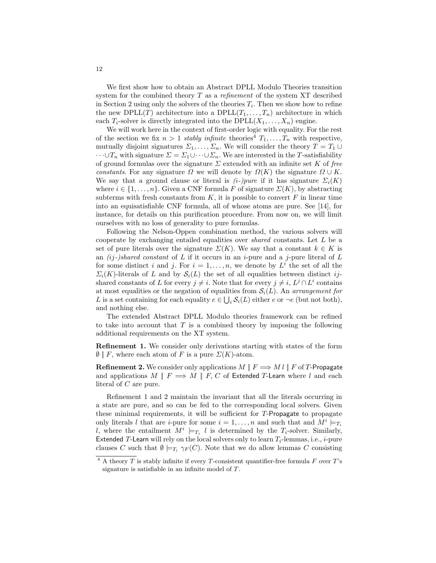We first show how to obtain an Abstract DPLL Modulo Theories transition system for the combined theory  $T$  as a refinement of the system XT described in Section 2 using only the solvers of the theories  $T_i$ . Then we show how to refine the new  $DPLL(T)$  architecture into a  $DPLL(T_1, \ldots, T_n)$  architecture in which each  $T_i$ -solver is directly integrated into the DPLL $(X_1, \ldots, X_n)$  engine.

We will work here in the context of first-order logic with equality. For the rest of the section we fix  $n > 1$  stably infinite theories<sup>4</sup>  $T_1, \ldots, T_n$  with respective, mutually disjoint signatures  $\Sigma_1, \ldots, \Sigma_n$ . We will consider the theory  $T = T_1 \cup$  $\cdots \cup T_n$  with signature  $\Sigma = \Sigma_1 \cup \cdots \cup \Sigma_n$ . We are interested in the T-satisfiability of ground formulas over the signature  $\Sigma$  extended with an infinite set K of free constants. For any signature  $\Omega$  we will denote by  $\Omega(K)$  the signature  $\Omega \cup K$ . We say that a ground clause or literal is  $(i-)pure$  if it has signature  $\Sigma_i(K)$ where  $i \in \{1, \ldots, n\}$ . Given a CNF formula F of signature  $\Sigma(K)$ , by abstracting subterms with fresh constants from  $K$ , it is possible to convert  $F$  in linear time into an equisatisfiable CNF formula, all of whose atoms are pure. See [14], for instance, for details on this purification procedure. From now on, we will limit ourselves with no loss of generality to pure formulas.

Following the Nelson-Oppen combination method, the various solvers will cooperate by exchanging entailed equalities over shared constants. Let L be a set of pure literals over the signature  $\Sigma(K)$ . We say that a constant  $k \in K$  is an  $(ij-)shared constant$  of L if it occurs in an *i*-pure and a j-pure literal of L for some distinct i and j. For  $i = 1, ..., n$ , we denote by  $L^i$  the set of all the  $\Sigma_i(K)$ -literals of L and by  $S_i(L)$  the set of all equalities between distinct ijshared constants of L for every  $j \neq i$ . Note that for every  $j \neq i$ ,  $L^j \cap L^i$  contains at most equalities or the negation of equalities from  $S_i(L)$ . An arrangement for L is a set containing for each equality  $e \in \bigcup_i \mathcal{S}_i(L)$  either  $e$  or  $\neg e$  (but not both), and nothing else.

The extended Abstract DPLL Modulo theories framework can be refined to take into account that  $T$  is a combined theory by imposing the following additional requirements on the XT system.

Refinement 1. We consider only derivations starting with states of the form  $\emptyset$  | F, where each atom of F is a pure  $\Sigma(K)$ -atom.

**Refinement 2.** We consider only applications  $M \parallel F \Longrightarrow M \parallel F$  of T-Propagate and applications  $M \parallel F \Longrightarrow M \parallel F$ , C of Extended T-Learn where l and each literal of C are pure.

Refinement 1 and 2 maintain the invariant that all the literals occurring in a state are pure, and so can be fed to the corresponding local solvers. Given these minimal requirements, it will be sufficient for T-Propagate to propagate only literals l that are i-pure for some  $i = 1, ..., n$  and such that and  $M^i \models_{T_i}$ l, where the entailment  $M^i \models_{T_i} l$  is determined by the  $T_i$ -solver. Similarly, Extended T-Learn will rely on the local solvers only to learn  $T_i$ -lemmas, i.e., *i*-pure clauses C such that  $\emptyset \models_{T_i} \gamma_F(C)$ . Note that we do allow lemmas C consisting

 $4\,$  A theory  $T$  is stably infinite if every  $T$ -consistent quantifier-free formula  $F$  over  $T$ 's signature is satisfiable in an infinite model of T.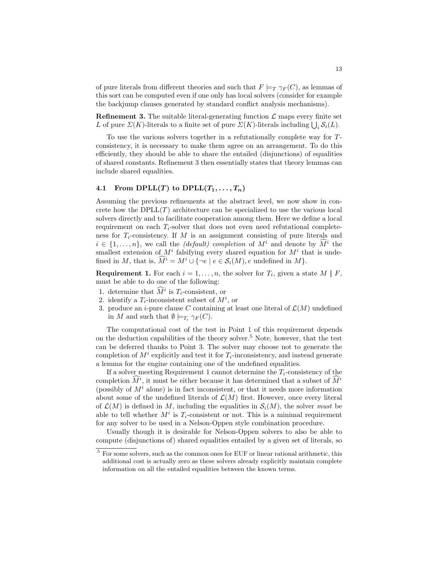of pure literals from different theories and such that  $F \models_T \gamma_F(C)$ , as lemmas of this sort can be computed even if one only has local solvers (consider for example the backjump clauses generated by standard conflict analysis mechanisms).

**Refinement 3.** The suitable literal-generating function  $\mathcal{L}$  maps every finite set L of pure  $\Sigma(K)$ -literals to a finite set of pure  $\Sigma(K)$ -literals including  $\bigcup_i \mathcal{S}_i(L)$ .

To use the various solvers together in a refutationally complete way for Tconsistency, it is necessary to make them agree on an arrangement. To do this efficiently, they should be able to share the entailed (disjunctions) of equalities of shared constants. Refinement 3 then essentially states that theory lemmas can include shared equalities.

### 4.1 From DPLL $(T)$  to DPLL $(T_1, \ldots, T_n)$

Assuming the previous refinements at the abstract level, we now show in concrete how the  $DPLL(T)$  architecture can be specialized to use the various local solvers directly and to facilitate cooperation among them. Here we define a local requirement on each  $T_i$ -solver that does not even need refutational completeness for  $T_i$ -consistency. If M is an assignment consisting of pure literals and  $i \in \{1, \ldots, n\}$ , we call the *(default)* completion of  $M^i$  and denote by  $\widehat{M}^i$  the smallest extension of  $M<sup>i</sup>$  falsifying every shared equation for  $M<sup>i</sup>$  that is undefined in M, that is,  $\tilde{M}^i = M^i \cup \{\neg e \mid e \in \mathcal{S}_i(M), e \text{ undefined in } M\}.$ 

**Requirement 1.** For each  $i = 1, \ldots, n$ , the solver for  $T_i$ , given a state  $M \parallel F$ , must be able to do one of the following:

- 1. determine that  $\widehat{M}^i$  is  $T_i$ -consistent, or
- 2. identify a  $T_i$ -inconsistent subset of  $M^i$ , or
- 3. produce an *i*-pure clause C containing at least one literal of  $\mathcal{L}(M)$  undefined in M and such that  $\emptyset \models_{T_i} \gamma_F(C)$ .

The computational cost of the test in Point 1 of this requirement depends on the deduction capabilities of the theory solver.<sup>5</sup> Note, however, that the test can be deferred thanks to Point 3. The solver may choose not to generate the completion of  $M^i$  explicitly and test it for  $T_i$ -inconsistency, and instead generate a lemma for the engine containing one of the undefined equalities.

If a solver meeting Requirement 1 cannot determine the  $T_i$ -consistency of the completion  $\widehat{M}^i$ , it must be either because it has determined that a subset of  $\widehat{M}^i$ (possibly of  $M<sup>i</sup>$  alone) is in fact inconsistent, or that it needs more information about some of the undefined literals of  $\mathcal{L}(M)$  first. However, once every literal of  $\mathcal{L}(M)$  is defined in M, including the equalities in  $\mathcal{S}_i(M)$ , the solver must be able to tell whether  $M^i$  is  $T_i$ -consistent or not. This is a minimal requirement for any solver to be used in a Nelson-Oppen style combination procedure.

Usually though it is desirable for Nelson-Oppen solvers to also be able to compute (disjunctions of) shared equalities entailed by a given set of literals, so

<sup>5</sup> For some solvers, such as the common ones for EUF or linear rational arithmetic, this additional cost is actually zero as these solvers already explicitly maintain complete information on all the entailed equalities between the known terms.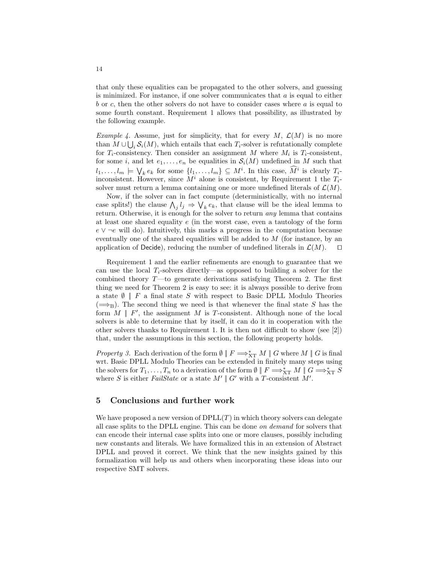that only these equalities can be propagated to the other solvers, and guessing is minimized. For instance, if one solver communicates that  $a$  is equal to either  $b$  or c, then the other solvers do not have to consider cases where  $a$  is equal to some fourth constant. Requirement 1 allows that possibility, as illustrated by the following example.

*Example 4.* Assume, just for simplicity, that for every M,  $\mathcal{L}(M)$  is no more than  $M \cup \bigcup_i \mathcal{S}_i(M)$ , which entails that each  $T_i$ -solver is refutationally complete for  $T_i$ -consistency. Then consider an assignment M where  $M_i$  is  $T_i$ -consistent, for some i, and let  $e_1, \ldots, e_n$  be equalities in  $\mathcal{S}_i(M)$  undefined in M such that  $l_1, \ldots, l_m \models \bigvee_k e_k$  for some  $\{l_1, \ldots, l_m\} \subseteq M^i$ . In this case,  $\widehat{M}^i$  is clearly  $T_i$ inconsistent. However, since  $M<sup>i</sup>$  alone is consistent, by Requirement 1 the  $T<sub>i</sub>$ solver must return a lemma containing one or more undefined literals of  $\mathcal{L}(M)$ .

Now, if the solver can in fact compute (deterministically, with no internal case splits!) the clause  $\bigwedge_j l_j \Rightarrow \bigvee_k e_k$ , that clause will be the ideal lemma to return. Otherwise, it is enough for the solver to return *any* lemma that contains at least one shared equality  $e$  (in the worst case, even a tautology of the form  $e \vee \neg e$  will do). Intuitively, this marks a progress in the computation because eventually one of the shared equalities will be added to M (for instance, by an application of Decide), reducing the number of undefined literals in  $\mathcal{L}(M)$ .  $\square$ 

Requirement 1 and the earlier refinements are enough to guarantee that we can use the local  $T_i$ -solvers directly—as opposed to building a solver for the combined theory  $T$ —to generate derivations satisfying Theorem 2. The first thing we need for Theorem 2 is easy to see: it is always possible to derive from a state  $\emptyset$  || F a final state S with respect to Basic DPLL Modulo Theories  $(\Longrightarrow_B)$ . The second thing we need is that whenever the final state S has the form  $M \parallel F'$ , the assignment M is T-consistent. Although none of the local solvers is able to determine that by itself, it can do it in cooperation with the other solvers thanks to Requirement 1. It is then not difficult to show (see [2]) that, under the assumptions in this section, the following property holds.

*Property 3.* Each derivation of the form  $\emptyset \parallel F \Longrightarrow_{\text{XT}}^* M \parallel G$  where  $M \parallel G$  is final wrt. Basic DPLL Modulo Theories can be extended in finitely many steps using the solvers for  $T_1, \ldots, T_n$  to a derivation of the form  $\emptyset \parallel F \Longrightarrow_{XT}^* M \parallel G \Longrightarrow_{XT}^* S$ where S is either FailState or a state  $M' \parallel G'$  with a T-consistent  $M'$ .

#### 5 Conclusions and further work

We have proposed a new version of  $DPLL(T)$  in which theory solvers can delegate all case splits to the DPLL engine. This can be done on demand for solvers that can encode their internal case splits into one or more clauses, possibly including new constants and literals. We have formalized this in an extension of Abstract DPLL and proved it correct. We think that the new insights gained by this formalization will help us and others when incorporating these ideas into our respective SMT solvers.